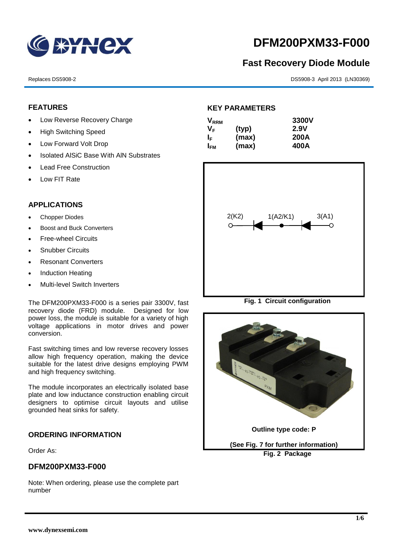

# **DFM200PXM33-F000**

## **Fast Recovery Diode Module**

Replaces DS5908-2 DS5908-3 April 2013 (LN30369)

#### **FEATURES**

- Low Reverse Recovery Charge
- High Switching Speed
- Low Forward Volt Drop
- Isolated AISiC Base With AIN Substrates
- Lead Free Construction
- Low FIT Rate

### **APPLICATIONS**

- Chopper Diodes
- Boost and Buck Converters
- Free-wheel Circuits
- Snubber Circuits
- Resonant Converters
- Induction Heating
- Multi-level Switch Inverters

The DFM200PXM33-F000 is a series pair 3300V, fast recovery diode (FRD) module. Designed for low power loss, the module is suitable for a variety of high voltage applications in motor drives and power conversion.

Fast switching times and low reverse recovery losses allow high frequency operation, making the device suitable for the latest drive designs employing PWM and high frequency switching.

The module incorporates an electrically isolated base plate and low inductance construction enabling circuit designers to optimise circuit layouts and utilise grounded heat sinks for safety.

#### **ORDERING INFORMATION**

Order As:

#### **DFM200PXM33-F000**

Note: When ordering, please use the complete part number

#### **KEY PARAMETERS**

| $\mathsf{V}_{\mathsf{RRM}}$ |       | 3300V |
|-----------------------------|-------|-------|
| Vғ                          | (typ) | 2.9V  |
| IF.                         | (max) | 200A  |
| I <sub>FМ</sub>             | (max) | 400A  |



**Fig. 1 Circuit configuration**

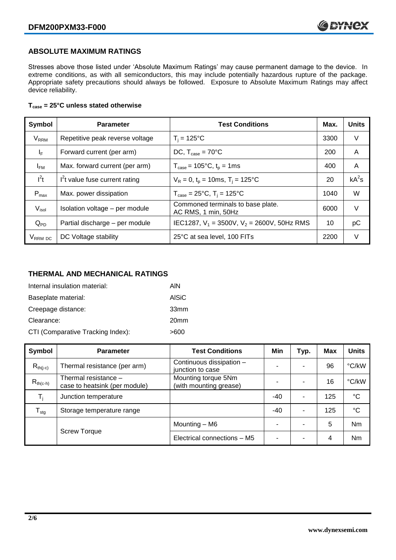#### **ABSOLUTE MAXIMUM RATINGS**

Stresses above those listed under 'Absolute Maximum Ratings' may cause permanent damage to the device. In extreme conditions, as with all semiconductors, this may include potentially hazardous rupture of the package. Appropriate safety precautions should always be followed. Exposure to Absolute Maximum Ratings may affect device reliability.

#### **Tcase = 25°C unless stated otherwise**

| Symbol                 | <b>Parameter</b>                | <b>Test Conditions</b>                                   |      | <b>Units</b> |
|------------------------|---------------------------------|----------------------------------------------------------|------|--------------|
| <b>V<sub>RRM</sub></b> | Repetitive peak reverse voltage | $T_i = 125$ °C                                           | 3300 | V            |
| $I_F$                  | Forward current (per arm)       | DC, $T_{case} = 70^{\circ}$ C                            |      | A            |
| $I_{FM}$               | Max. forward current (per arm)  | $T_{\text{case}} = 105^{\circ}C, t_{p} = 1ms$            | 400  | A            |
| $I^2t$                 | $I2t$ value fuse current rating | $V_R = 0$ , $t_p = 10$ ms, $T_i = 125$ °C                | 20   | $kA^2s$      |
| $P_{\text{max}}$       | Max. power dissipation          | $T_{\text{case}} = 25^{\circ}C$ , $T_i = 125^{\circ}C$   | 1040 | W            |
| $V_{\sf isol}$         | Isolation voltage - per module  | Commoned terminals to base plate.<br>AC RMS, 1 min, 50Hz | 6000 | $\vee$       |
| $Q_{PD}$               | Partial discharge - per module  | IEC1287, $V_1$ = 3500V, $V_2$ = 2600V, 50Hz RMS          | 10   | рC           |
| V <sub>RRM</sub> DC    | DC Voltage stability            | 25°C at sea level, 100 FITs                              | 2200 | V            |

### **THERMAL AND MECHANICAL RATINGS**

| Internal insulation material:     | AIN              |
|-----------------------------------|------------------|
| Baseplate material:               | AISiC            |
| Creepage distance:                | 33mm             |
| Clearance:                        | 20 <sub>mm</sub> |
| CTI (Comparative Tracking Index): | >600             |

| Symbol           | <b>Parameter</b>                                      | <b>Test Conditions</b>                        | Min   | Typ. | <b>Max</b> | <b>Units</b> |
|------------------|-------------------------------------------------------|-----------------------------------------------|-------|------|------------|--------------|
| $R_{th(i-c)}$    | Thermal resistance (per arm)                          | Continuous dissipation -<br>junction to case  | -     |      | 96         | °C/kW        |
| $R_{th(c-h)}$    | Thermal resistance -<br>case to heatsink (per module) | Mounting torque 5Nm<br>(with mounting grease) |       |      | 16         | °C/kW        |
| $T_i$            | Junction temperature                                  |                                               | $-40$ | ۰    | 125        | $^{\circ}C$  |
| $T_{\text{stg}}$ | Storage temperature range                             |                                               | $-40$ |      | 125        | $^{\circ}C$  |
|                  |                                                       | Mounting - M6                                 |       |      | 5          | Nm           |
|                  | <b>Screw Torque</b>                                   | Electrical connections - M5                   | -     |      | 4          | Nm           |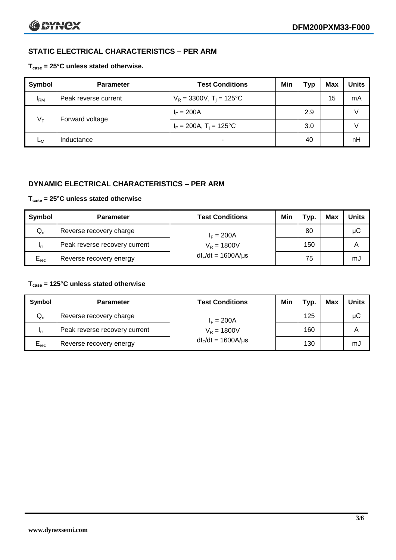### **STATIC ELECTRICAL CHARACTERISTICS – PER ARM**

#### **Tcase = 25°C unless stated otherwise.**

| <b>Symbol</b> | <b>Parameter</b>     | <b>Test Conditions</b>                 | Min | Typ | Max | <b>Units</b> |
|---------------|----------------------|----------------------------------------|-----|-----|-----|--------------|
| $I_{\rm RM}$  | Peak reverse current | $V_R = 3300V$ , T <sub>i</sub> = 125°C |     |     | 15  | mA           |
| $V_F$         | Forward voltage      | $I_F = 200A$                           |     | 2.9 |     |              |
|               |                      | $I_F = 200A$ , $T_i = 125^{\circ}C$    |     | 3.0 |     |              |
| Lм            | Inductance           | $\blacksquare$                         |     | 40  |     | nH           |

#### **DYNAMIC ELECTRICAL CHARACTERISTICS – PER ARM**

#### **Tcase = 25°C unless stated otherwise**

| Symbol          | <b>Parameter</b>                        | <b>Test Conditions</b>  | Min | тур. | Max | <b>Units</b> |
|-----------------|-----------------------------------------|-------------------------|-----|------|-----|--------------|
| $Q_{rr}$        | Reverse recovery charge<br>$I_F = 200A$ |                         |     | 80   |     | μC           |
| 1 <sub>rr</sub> | Peak reverse recovery current           | $V_R = 1800V$           |     | 150  |     | A            |
| $E_{rec}$       | Reverse recovery energy                 | $dl_F/dt = 1600A/\mu s$ |     | 75   |     | mJ           |

#### **Tcase = 125°C unless stated otherwise**

| Symbol                     | <b>Parameter</b>              | <b>Test Conditions</b>  | Min | Typ. | Max | <b>Units</b> |
|----------------------------|-------------------------------|-------------------------|-----|------|-----|--------------|
| $\mathsf{Q}_{\mathsf{rr}}$ | Reverse recovery charge       | $I_F = 200A$            |     | 125  |     | μC           |
| - Irr                      | Peak reverse recovery current | $V_R = 1800V$           |     | 160  |     | Α            |
| $E_{rec}$                  | Reverse recovery energy       | $dl_F/dt = 1600A/\mu s$ |     | 130  |     | mJ           |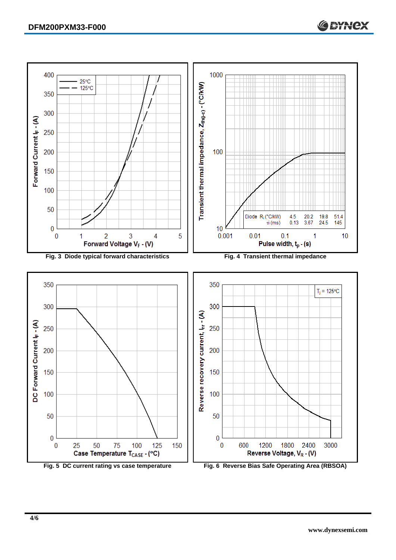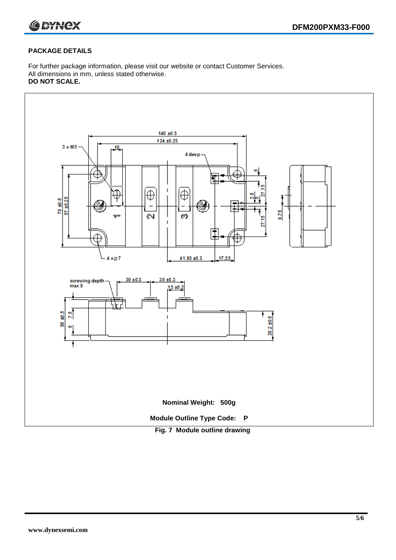

#### **PACKAGE DETAILS**

For further package information, please visit our website or contact Customer Services. All dimensions in mm, unless stated otherwise. **DO NOT SCALE.**